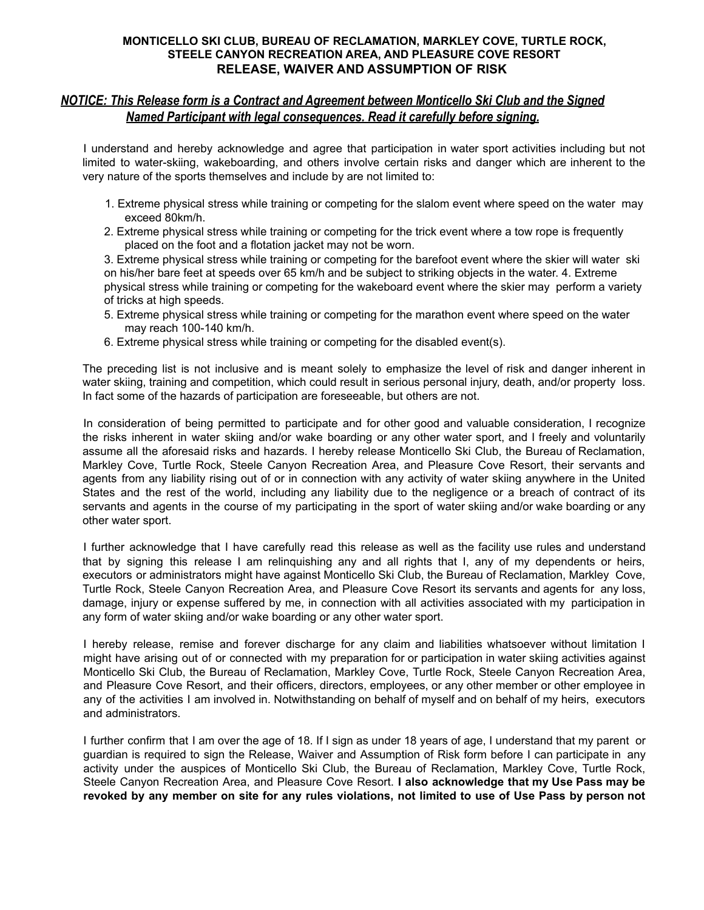### **MONTICELLO SKI CLUB, BUREAU OF RECLAMATION, MARKLEY COVE, TURTLE ROCK, STEELE CANYON RECREATION AREA, AND PLEASURE COVE RESORT RELEASE, WAIVER AND ASSUMPTION OF RISK**

## *NOTICE: This Release form is a Contract and Agreement between Monticello Ski Club and the Signed Named Participant with legal consequences. Read it carefully before signing.*

I understand and hereby acknowledge and agree that participation in water sport activities including but not limited to water-skiing, wakeboarding, and others involve certain risks and danger which are inherent to the very nature of the sports themselves and include by are not limited to:

- 1. Extreme physical stress while training or competing for the slalom event where speed on the water may exceed 80km/h.
- 2. Extreme physical stress while training or competing for the trick event where a tow rope is frequently placed on the foot and a flotation jacket may not be worn.

3. Extreme physical stress while training or competing for the barefoot event where the skier will water ski on his/her bare feet at speeds over 65 km/h and be subject to striking objects in the water. 4. Extreme physical stress while training or competing for the wakeboard event where the skier may perform a variety of tricks at high speeds.

- 5. Extreme physical stress while training or competing for the marathon event where speed on the water may reach 100-140 km/h.
- 6. Extreme physical stress while training or competing for the disabled event(s).

The preceding list is not inclusive and is meant solely to emphasize the level of risk and danger inherent in water skiing, training and competition, which could result in serious personal injury, death, and/or property loss. In fact some of the hazards of participation are foreseeable, but others are not.

In consideration of being permitted to participate and for other good and valuable consideration, I recognize the risks inherent in water skiing and/or wake boarding or any other water sport, and I freely and voluntarily assume all the aforesaid risks and hazards. I hereby release Monticello Ski Club, the Bureau of Reclamation, Markley Cove, Turtle Rock, Steele Canyon Recreation Area, and Pleasure Cove Resort, their servants and agents from any liability rising out of or in connection with any activity of water skiing anywhere in the United States and the rest of the world, including any liability due to the negligence or a breach of contract of its servants and agents in the course of my participating in the sport of water skiing and/or wake boarding or any other water sport.

I further acknowledge that I have carefully read this release as well as the facility use rules and understand that by signing this release I am relinquishing any and all rights that I, any of my dependents or heirs, executors or administrators might have against Monticello Ski Club, the Bureau of Reclamation, Markley Cove, Turtle Rock, Steele Canyon Recreation Area, and Pleasure Cove Resort its servants and agents for any loss, damage, injury or expense suffered by me, in connection with all activities associated with my participation in any form of water skiing and/or wake boarding or any other water sport.

I hereby release, remise and forever discharge for any claim and liabilities whatsoever without limitation I might have arising out of or connected with my preparation for or participation in water skiing activities against Monticello Ski Club, the Bureau of Reclamation, Markley Cove, Turtle Rock, Steele Canyon Recreation Area, and Pleasure Cove Resort, and their officers, directors, employees, or any other member or other employee in any of the activities I am involved in. Notwithstanding on behalf of myself and on behalf of my heirs, executors and administrators.

I further confirm that I am over the age of 18. If I sign as under 18 years of age, I understand that my parent or guardian is required to sign the Release, Waiver and Assumption of Risk form before I can participate in any activity under the auspices of Monticello Ski Club, the Bureau of Reclamation, Markley Cove, Turtle Rock, Steele Canyon Recreation Area, and Pleasure Cove Resort. **I also acknowledge that my Use Pass may be** revoked by any member on site for any rules violations, not limited to use of Use Pass by person not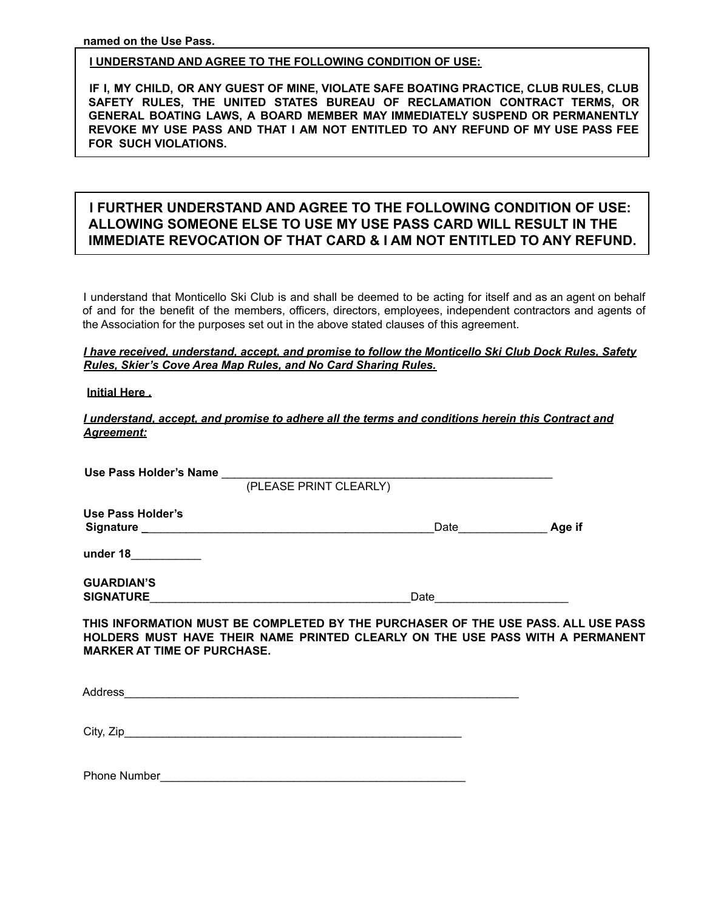**named on the Use Pass.**

### **I UNDERSTAND AND AGREE TO THE FOLLOWING CONDITION OF USE:**

**IF I, MY CHILD, OR ANY GUEST OF MINE, VIOLATE SAFE BOATING PRACTICE, CLUB RULES, CLUB SAFETY RULES, THE UNITED STATES BUREAU OF RECLAMATION CONTRACT TERMS, OR GENERAL BOATING LAWS, A BOARD MEMBER MAY IMMEDIATELY SUSPEND OR PERMANENTLY REVOKE MY USE PASS AND THAT I AM NOT ENTITLED TO ANY REFUND OF MY USE PASS FEE FOR SUCH VIOLATIONS.**

# **I FURTHER UNDERSTAND AND AGREE TO THE FOLLOWING CONDITION OF USE: ALLOWING SOMEONE ELSE TO USE MY USE PASS CARD WILL RESULT IN THE IMMEDIATE REVOCATION OF THAT CARD & I AM NOT ENTITLED TO ANY REFUND.**

I understand that Monticello Ski Club is and shall be deemed to be acting for itself and as an agent on behalf of and for the benefit of the members, officers, directors, employees, independent contractors and agents of the Association for the purposes set out in the above stated clauses of this agreement.

### *I have received, understand, accept, and promise to follow the Monticello Ski Club Dock Rules, Safety Rules, Skier's Cove Area Map Rules, and No Card Sharing Rules.*

### **Initial Here** *.*

*I understand, accept, and promise to adhere all the terms and conditions herein this Contract and Agreement:*

|                                                                                                                                                                                                          | (PLEASE PRINT CLEARLY)  |  |
|----------------------------------------------------------------------------------------------------------------------------------------------------------------------------------------------------------|-------------------------|--|
| Use Pass Holder's                                                                                                                                                                                        | Date Learne Land Age if |  |
| under 18____________                                                                                                                                                                                     |                         |  |
| <b>GUARDIAN'S</b><br>SIGNATURE                                                                                                                                                                           |                         |  |
| THIS INFORMATION MUST BE COMPLETED BY THE PURCHASER OF THE USE PASS. ALL USE PASS<br>HOLDERS MUST HAVE THEIR NAME PRINTED CLEARLY ON THE USE PASS WITH A PERMANENT<br><b>MARKER AT TIME OF PURCHASE.</b> |                         |  |
|                                                                                                                                                                                                          |                         |  |
| City, Zip                                                                                                                                                                                                |                         |  |
| <b>Phone Number</b>                                                                                                                                                                                      |                         |  |